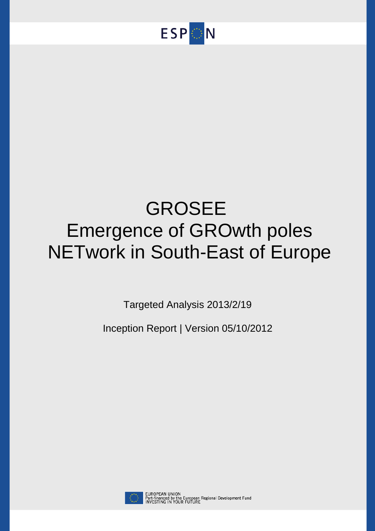

# GROSEE Emergence of GROwth poles NETwork in South-East of Europe

Targeted Analysis 2013/2/19

Inception Report | Version 05/10/2012



EUROPEAN UNION<br>Part-financed by the European Regional Development Fund<br>INVESTING IN YOUR FUTURE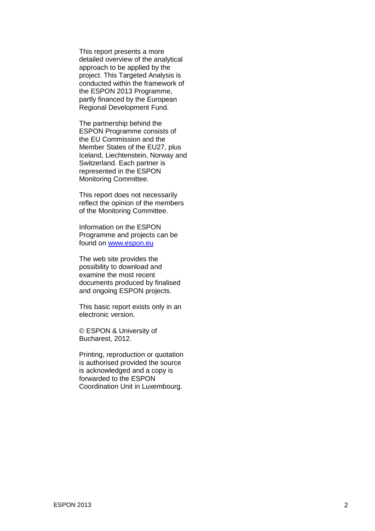This report presents a more detailed overview of the analytical approach to be applied by the project. This Targeted Analysis is conducted within the framework of the ESPON 2013 Programme, partly financed by the European Regional Development Fund .

The partnership behind the ESPON Programme consists of the EU Commission and the Member States of the EU27, plus Iceland, Liechtenstein, Norway and Switzerland. Each partner is represented in the ESPON Monitoring Committee.

This report does not necessarily reflect the opinion of the members of the Monitoring Committee.

Information on the ESPON Programme and projects can be found on [www.espon.eu](http://www.espon.eu/)

The web site provides the possibility to download and examine the most recent documents produced by finalised and ongoing ESPON projects.

This basic report exists only in an electronic version.

© ESPON & University of Bucharest, 2012 .

Printing, reproduction or quotation is authorised provided the source is acknowledged and a copy is forwarded to the ESPON Coordination Unit in Luxembourg.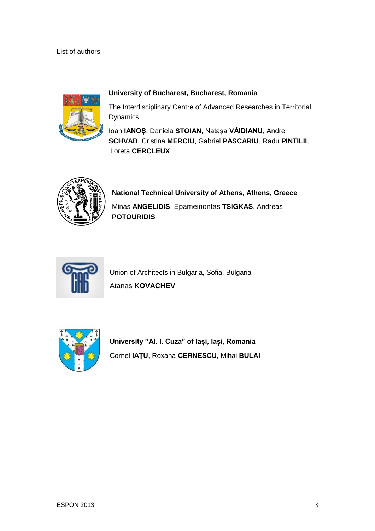# List of authors



# **University of Bucharest, Bucharest, Romania**

The Interdisciplinary Centre of Advanced Researches in Territorial **Dynamics** 

Ioan **IANOȘ**, Daniela **STOIAN**, Natașa **VĂIDIANU**, Andrei **SCHVAB**, Cristina **MERCIU**, Gabriel **PASCARIU**, Radu **PINTILII**, Loreta **CERCLEUX**



**National Technical University of Athens, Athens, Greece** Minas **ANGELIDIS**, Epameinontas **TSIGKAS**, Andreas **POTOURIDIS**



Union of Architects in Bulgaria, Sofia, Bulgaria Atanas **KOVACHEV**



**University "Al. I. Cuza" of Iași, Iași, Romania** Cornel **IAȚU**, Roxana **CERNESCU**, Mihai **BULAI**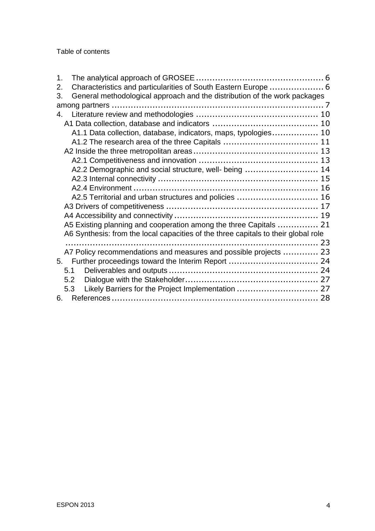## Table of contents

| 1 <sub>1</sub> |                                                                                    |  |
|----------------|------------------------------------------------------------------------------------|--|
| 2.             | Characteristics and particularities of South Eastern Europe  6                     |  |
| 3.             | General methodological approach and the distribution of the work packages          |  |
|                |                                                                                    |  |
| 4.             |                                                                                    |  |
|                |                                                                                    |  |
|                | A1.1 Data collection, database, indicators, maps, typologies 10                    |  |
|                |                                                                                    |  |
|                |                                                                                    |  |
|                |                                                                                    |  |
|                | A2.2 Demographic and social structure, well- being  14                             |  |
|                |                                                                                    |  |
|                |                                                                                    |  |
|                | A2.5 Territorial and urban structures and policies  16                             |  |
|                |                                                                                    |  |
|                |                                                                                    |  |
|                | A5 Existing planning and cooperation among the three Capitals  21                  |  |
|                | A6 Synthesis: from the local capacities of the three capitals to their global role |  |
|                |                                                                                    |  |
|                | A7 Policy recommendations and measures and possible projects  23                   |  |
| 5.             |                                                                                    |  |
|                | 5.1                                                                                |  |
|                | 5.2                                                                                |  |
|                | Likely Barriers for the Project Implementation  27<br>5.3                          |  |
| 6.             |                                                                                    |  |
|                |                                                                                    |  |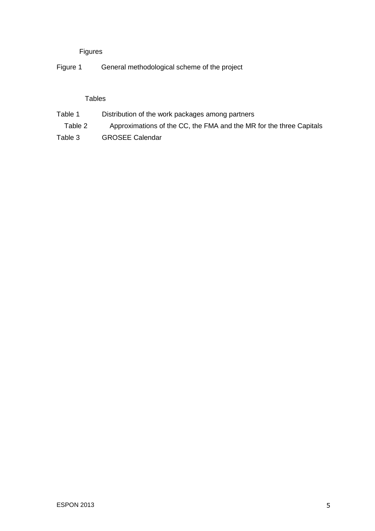# Figures

Figure 1 General methodological scheme of the project

# Tables

- Table 1 Distribution of the work packages among partners
- Table 2 Approximations of the CC, the FMA and the MR for the three Capitals
- Table 3 GROSEE Calendar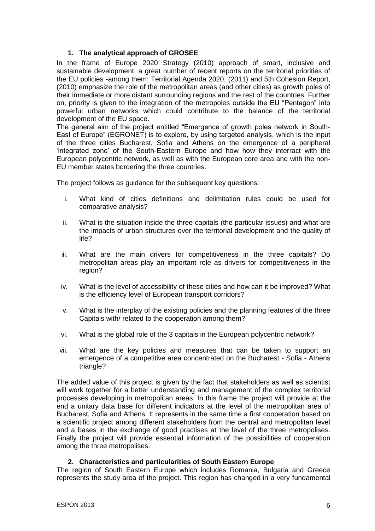# <span id="page-5-0"></span>**1. The analytical approach of GROSEE**

In the frame of Europe 2020 Strategy (2010) approach of smart, inclusive and sustainable development, a great number of recent reports on the territorial priorities of the EU policies -among them: Territorial Agenda 2020, (2011) and 5th Cohesion Report, (2010) emphasize the role of the metropolitan areas (and other cities) as growth poles of their immediate or more distant surrounding regions and the rest of the countries. Further on, priority is given to the integration of the metropoles outside the EU "Pentagon" into powerful urban networks which could contribute to the balance of the territorial development of the EU space.

The general aim of the project entitled "Emergence of growth poles network in South-East of Europe" (EGRONET) is to explore, by using targeted analysis, which is the input of the three cities Bucharest, Sofia and Athens on the emergence of a peripheral 'integrated zone' of the South-Eastern Europe and how how they interract with the European polycentric network, as well as with the European core area and with the non-EU member states bordering the three countries.

The project follows as guidance for the subsequent key questions:

- i. What kind of cities definitions and delimitation rules could be used for comparative analysis?
- ii. What is the situation inside the three capitals (the particular issues) and what are the impacts of urban structures over the territorial development and the quality of life?
- iii. What are the main drivers for competitiveness in the three capitals? Do metropolitan areas play an important role as drivers for competitiveness in the region?
- iv. What is the level of accessibility of these cities and how can it be improved? What is the efficiency level of European transport corridors?
- v. What is the interplay of the existing policies and the planning features of the three Capitals with/ related to the cooperation among them?
- vi. What is the global role of the 3 capitals in the European polycentric network?
- vii. What are the key policies and measures that can be taken to support an emergence of a competitive area concentrated on the Bucharest - Sofia - Athens triangle?

The added value of this project is given by the fact that stakeholders as well as scientist will work together for a better understanding and management of the complex territorial processes developing in metropolitan areas. In this frame the project will provide at the end a unitary data base for different indicators at the level of the metropolitan area of Bucharest, Sofia and Athens. It represents in the same time a first cooperation based on a scientific project among different stakeholders from the central and metropolitan level and a bases in the exchange of good practises at the level of the three metropolises. Finally the project will provide essential information of the possibilities of cooperation among the three metropolises.

# **2. Characteristics and particularities of South Eastern Europe**

<span id="page-5-1"></span>The region of South Eastern Europe which includes Romania, Bulgaria and Greece represents the study area of the project. This region has changed in a very fundamental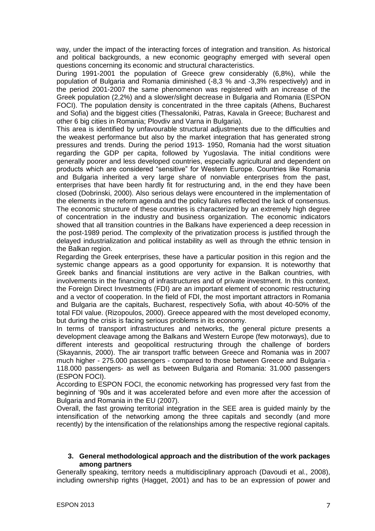way, under the impact of the interacting forces of integration and transition. As historical and political backgrounds, a new economic geography emerged with several open questions concerning its economic and structural characteristics.

During 1991-2001 the population of Greece grew considerably (6,8%), while the population of Bulgaria and Romania diminished (-8,3 % and -3,3% respectively) and in the period 2001-2007 the same phenomenon was registered with an increase of the Greek population (2,2%) and a slower/slight decrease in Bulgaria and Romania (ESPON FOCI). The population density is concentrated in the three capitals (Athens, Bucharest and Sofia) and the biggest cities (Thessaloniki, Patras, Kavala in Greece; Bucharest and other 6 big cities in Romania; Plovdiv and Varna in Bulgaria).

This area is identified by unfavourable structural adjustments due to the difficulties and the weakest performance but also by the market integration that has generated strong pressures and trends. During the period 1913- 1950, Romania had the worst situation regarding the GDP per capita, followed by Yugoslavia. The initial conditions were generally poorer and less developed countries, especially agricultural and dependent on products which are considered "sensitive" for Western Europe. Countries like Romania and Bulgaria inherited a very large share of nonviable enterprises from the past, enterprises that have been hardly fit for restructuring and, in the end they have been closed (Dobrinski, 2000). Also serious delays were encountered in the implementation of the elements in the reform agenda and the policy failures reflected the lack of consensus. The economic structure of these countries is characterized by an extremely high degree of concentration in the industry and business organization. The economic indicators showed that all transition countries in the Balkans have experienced a deep recession in the post-1989 period. The complexity of the privatization process is justified through the delayed industrialization and political instability as well as through the ethnic tension in the Balkan region.

Regarding the Greek enterprises, these have a particular position in this region and the systemic change appears as a good opportunity for expansion. It is noteworthy that Greek banks and financial institutions are very active in the Balkan countries, with involvements in the financing of infrastructures and of private investment. In this context, the Foreign Direct Investments (FDI) are an important element of economic restructuring and a vector of cooperation. In the field of FDI, the most important attractors in Romania and Bulgaria are the capitals, Bucharest, respectively Sofia, with about 40-50% of the total FDI value. (Rizopoulos, 2000). Greece appeared with the most developed economy, but during the crisis is facing serious problems in its economy.

In terms of transport infrastructures and networks, the general picture presents a development cleavage among the Balkans and Western Europe (few motorways), due to different interests and geopolitical restructuring through the challenge of borders (Skayannis, 2000). The air transport traffic between Greece and Romania was in 2007 much higher - 275.000 passengers - compared to those between Greece and Bulgaria - 118.000 passengers- as well as between Bulgaria and Romania: 31.000 passengers (ESPON FOCI).

According to ESPON FOCI, the economic networking has progressed very fast from the beginning of '90s and it was accelerated before and even more after the accession of Bulgaria and Romania in the EU (2007).

Overall, the fast growing territorial integration in the SEE area is guided mainly by the intensification of the networking among the three capitals and secondly (and more recently) by the intensification of the relationships among the respective regional capitals.

#### <span id="page-6-0"></span>**3. General methodological approach and the distribution of the work packages among partners**

Generally speaking, territory needs a multidisciplinary approach (Davoudi et al., 2008), including ownership rights (Hagget, 2001) and has to be an expression of power and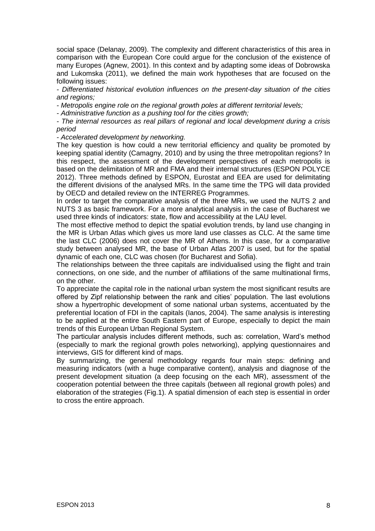social space (Delanay, 2009). The complexity and different characteristics of this area in comparison with the European Core could argue for the conclusion of the existence of many Europes (Agnew, 2001). In this context and by adapting some ideas of Dobrowska and Lukomska (2011), we defined the main work hypotheses that are focused on the following issues:

*- Differentiated historical evolution influences on the present-day situation of the cities and regions;*

*- Metropolis engine role on the regional growth poles at different territorial levels;*

*- Administrative function as a pushing tool for the cities growth;*

*- The internal resources as real pillars of regional and local development during a crisis period*

*- Accelerated development by networking.*

The key question is how could a new territorial efficiency and quality be promoted by keeping spatial identity (Camagny, 2010) and by using the three metropolitan regions? In this respect, the assessment of the development perspectives of each metropolis is based on the delimitation of MR and FMA and their internal structures (ESPON POLYCE 2012). Three methods defined by ESPON, Eurostat and EEA are used for delimitating the different divisions of the analysed MRs. In the same time the TPG will data provided by OECD and detailed review on the INTERREG Programmes.

In order to target the comparative analysis of the three MRs, we used the NUTS 2 and NUTS 3 as basic framework. For a more analytical analysis in the case of Bucharest we used three kinds of indicators: state, flow and accessibility at the LAU level.

The most effective method to depict the spatial evolution trends, by land use changing in the MR is Urban Atlas which gives us more land use classes as CLC. At the same time the last CLC (2006) does not cover the MR of Athens. In this case, for a comparative study between analysed MR, the base of Urban Atlas 2007 is used, but for the spatial dynamic of each one, CLC was chosen (for Bucharest and Sofia).

The relationships between the three capitals are individualised using the flight and train connections, on one side, and the number of affiliations of the same multinational firms, on the other.

To appreciate the capital role in the national urban system the most significant results are offered by Zipf relationship between the rank and cities' population. The last evolutions show a hypertrophic development of some national urban systems, accentuated by the preferential location of FDI in the capitals (Ianos, 2004). The same analysis is interesting to be applied at the entire South Eastern part of Europe, especially to depict the main trends of this European Urban Regional System.

The particular analysis includes different methods, such as: correlation, Ward's method (especially to mark the regional growth poles networking), applying questionnaires and interviews, GIS for different kind of maps.

By summarizing, the general methodology regards four main steps: defining and measuring indicators (with a huge comparative content), analysis and diagnose of the present development situation (a deep focusing on the each MR), assessment of the cooperation potential between the three capitals (between all regional growth poles) and elaboration of the strategies (Fig.1). A spatial dimension of each step is essential in order to cross the entire approach.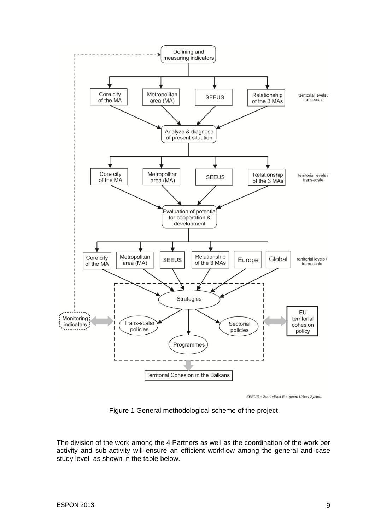

SEEUS = South-East European Urban System

Figure 1 General methodological scheme of the project

The division of the work among the 4 Partners as well as the coordination of the work per activity and sub-activity will ensure an efficient workflow among the general and case study level, as shown in the table below.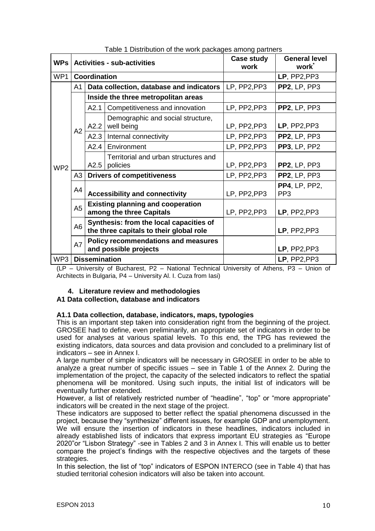| <b>WPs</b>      | <b>Activities - sub-activities</b> |                                                                                    |                                                  | Case study<br>work | <b>General level</b><br>work            |
|-----------------|------------------------------------|------------------------------------------------------------------------------------|--------------------------------------------------|--------------------|-----------------------------------------|
| WP1             |                                    | Coordination                                                                       |                                                  |                    | LP, PP2, PP3                            |
|                 | A1                                 |                                                                                    | Data collection, database and indicators         | LP, PP2, PP3       | PP2, LP, PP3                            |
|                 | A2                                 | Inside the three metropolitan areas                                                |                                                  |                    |                                         |
|                 |                                    | A2.1                                                                               | Competitiveness and innovation                   | LP, PP2, PP3       | <b>PP2, LP, PP3</b>                     |
|                 |                                    | A2.2                                                                               | Demographic and social structure,<br>well being  | LP, PP2, PP3       | $LP$ , PP2, PP3                         |
|                 |                                    | A2.3                                                                               | Internal connectivity                            | LP, PP2, PP3       | <b>PP2, LP, PP3</b>                     |
|                 |                                    | A2.4                                                                               | Environment                                      | LP, PP2, PP3       | PP3, LP, PP2                            |
| WP <sub>2</sub> |                                    | A2.5                                                                               | Territorial and urban structures and<br>policies | LP, PP2, PP3       | PP2, LP, PP3                            |
|                 | A3                                 | <b>Drivers of competitiveness</b>                                                  |                                                  | LP, PP2, PP3       | PP2, LP, PP3                            |
|                 | A4                                 | <b>Accessibility and connectivity</b>                                              |                                                  | LP, PP2, PP3       | <b>PP4, LP, PP2,</b><br>PP <sub>3</sub> |
|                 | A <sub>5</sub>                     | <b>Existing planning and cooperation</b><br>among the three Capitals               |                                                  | LP, PP2, PP3       | $LP$ , PP2, PP3                         |
|                 | A <sub>6</sub>                     | Synthesis: from the local capacities of<br>the three capitals to their global role |                                                  |                    | LP, PP2, PP3                            |
|                 | A7                                 | <b>Policy recommendations and measures</b><br>and possible projects                |                                                  |                    | LP, PP2, PP3                            |
| WP3             | <b>Dissemination</b>               |                                                                                    |                                                  | LP, PP2, PP3       |                                         |

Table 1 Distribution of the work packages among partners

(LP – University of Bucharest, P2 – National Technical University of Athens, P3 – Union of Architects in Bulgaria, P4 – University Al. I. Cuza from Iasi)

# <span id="page-9-0"></span>**4. Literature review and methodologies**

# <span id="page-9-1"></span>**A1 Data collection, database and indicators**

# <span id="page-9-2"></span>**A1.1 Data collection, database, indicators, maps, typologies**

This is an important step taken into consideration right from the beginning of the project. GROSEE had to define, even preliminarily, an appropriate set of indicators in order to be used for analyses at various spatial levels. To this end, the TPG has reviewed the existing indicators, data sources and data provision and concluded to a preliminary list of indicators – see in Annex I.

A large number of simple indicators will be necessary in GROSEE in order to be able to analyze a great number of specific issues – see in Table 1 of the Annex 2. During the implementation of the project, the capacity of the selected indicators to reflect the spatial phenomena will be monitored. Using such inputs, the initial list of indicators will be eventually further extended.

However, a list of relatively restricted number of "headline", "top" or "more appropriate" indicators will be created in the next stage of the project.

These indicators are supposed to better reflect the spatial phenomena discussed in the project, because they "synthesize" different issues, for example GDP and unemployment. We will ensure the insertion of indicators in these headlines, indicators included in already established lists of indicators that express important EU strategies as "Europe 2020"or "Lisbon Strategy" -see in Tables 2 and 3 in Annex I. This will enable us to better compare the project's findings with the respective objectives and the targets of these strategies.

In this selection, the list of "top" indicators of ESPON INTERCO (see in Table 4) that has studied territorial cohesion indicators will also be taken into account.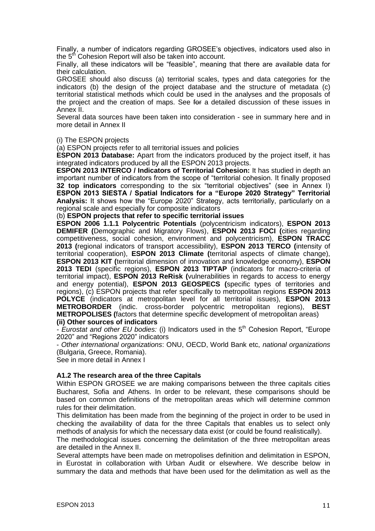Finally, a number of indicators regarding GROSEE's objectives, indicators used also in the  $5<sup>th</sup>$  Cohesion Report will also be taken into account.

Finally, all these indicators will be "feasible", meaning that there are available data for their calculation.

GROSEE should also discuss (a) territorial scales, types and data categories for the indicators (b) the design of the project database and the structure of metadata (c) territorial statistical methods which could be used in the analyses and the proposals of the project and the creation of maps. See for a detailed discussion of these issues in Annex II.

Several data sources have been taken into consideration - see in summary here and in more detail in Annex II

#### (i) The ESPON projects

(a) ESPON projects refer to all territorial issues and policies

**ESPON 2013 Database:** Apart from the indicators produced by the project itself, it has integrated indicators produced by all the ESPON 2013 projects.

**ESPON 2013 INTERCO / Indicators of Territorial Cohesion:** It has studied in depth an important number of indicators from the scope of "territorial cohesion. It finally proposed **32 top indicators** corresponding to the six "territorial objectives" (see in Annex I) **ESPON 2013 SIESTA / Spatial Indicators for a "Europe 2020 Strategy" Territorial Analysis:** It shows how the "Europe 2020" Strategy, acts territorially, particularly on a regional scale and especially for composite indicators

(b) **ESPON projects that refer to specific territorial issues**

**ESPON 2006 1.1.1 Polycentric Potentials** (polycentricism indicators), **ESPON 2013 DEMIFER (**Demographic and Migratory Flows), **ESPON 2013 FOCI (**cities regarding competitiveness, social cohesion, environment and polycentricism), **ESPON TRACC 2013 (**regional indicators of transport accessibility), **ESPON 2013 TERCO (**intensity of territorial cooperation), **ESPON 2013 Climate (**territorial aspects of climate change), **ESPON 2013 KIT (**territorial dimension of innovation and knowledge economy), **ESPON 2013 TEDI** (specific regions), **ESPON 2013 TIPTAP** (indicators for macro-criteria of territorial impact), **ESPON 2013 ReRisk (**vulnerabilities in regards to access to energy and energy potential), **ESPON 2013 GEOSPECS (**specific types of territories and regions), (c) ESPON projects that refer specifically to metropolitan regions **ESPON 2013 POLYCE** (indicators at metropolitan level for all territorial issues), **ESPON 2013 METROBORDER** (indic. cross-border polycentric metropolitan regions), **BEST METROPOLISES (**factors that determine specific development of metropolitan areas) **(ii) Other sources of indicators**

- *Eurostat and other EU bodies:* (i) Indicators used in the 5<sup>th</sup> Cohesion Report, "Europe 2020" and "Regions 2020" indicators

- *Other international organizations*: ONU, OECD, World Bank etc, *national organizations*  (Bulgaria, Greece, Romania).

See in more detail in Annex I

#### <span id="page-10-0"></span>**A1.2 The research area of the three Capitals**

Within ESPON GROSEE we are making comparisons between the three capitals cities Bucharest, Sofia and Athens. In order to be relevant, these comparisons should be based on common definitions of the metropolitan areas which will determine common rules for their delimitation.

This delimitation has been made from the beginning of the project in order to be used in checking the availability of data for the three Capitals that enables us to select only methods of analysis for which the necessary data exist (or could be found realistically).

The methodological issues concerning the delimitation of the three metropolitan areas are detailed in the Annex II.

Several attempts have been made on metropolises definition and delimitation in ESPON, in Eurostat in collaboration with Urban Audit or elsewhere. We describe below in summary the data and methods that have been used for the delimitation as well as the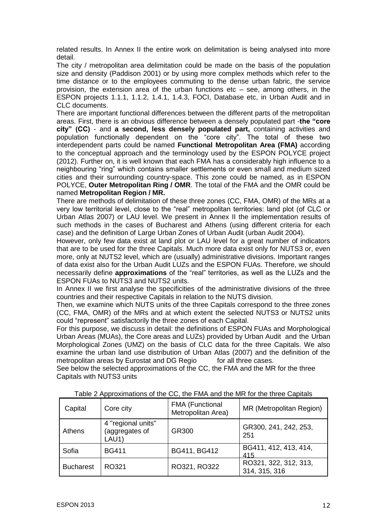related results. In Annex II the entire work on delimitation is being analysed into more detail.

The city / metropolitan area delimitation could be made on the basis of the population size and density (Paddison 2001) or by using more complex methods which refer to the time distance or to the employees commuting to the dense urban fabric, the service provision, the extension area of the urban functions etc – see, among others, in the ESPON projects 1.1.1, 1.1.2, 1.4.1, 1.4.3, FOCI, Database etc, in Urban Audit and in CLC documents.

There are important functional differences between the different parts of the metropolitan areas. First, there is an obvious difference between a densely populated part -**the "core city" (CC)** - and **a second, less densely populated part,** containing activities and population functionally dependent on the "core city". The total of these two interdependent parts could be named **Functional Metropolitan Area (FMA)** according to the conceptual approach and the terminology used by the ESPON POLYCE project (2012). Further on, it is well known that each FMA has a considerably high influence to a neighbouring "ring" which contains smaller settlements or even small and medium sized cities and their surrounding country-space. This zone could be named, as in ESPON POLYCE, **Outer Metropolitan Ring / OMR**. The total of the FMA and the OMR could be named **Metropolitan Region / MR.**

There are methods of delimitation of these three zones (CC, FMA, OMR) of the MRs at a very low territorial level, close to the "real" metropolitan territories: land plot (of CLC or Urban Atlas 2007) or LAU level. We present in Annex II the implementation results of such methods in the cases of Bucharest and Athens (using different criteria for each case) and the definition of Large Urban Zones of Urban Audit (urban Audit 2004).

However, only few data exist at land plot or LAU level for a great number of indicators that are to be used for the three Capitals. Much more data exist only for NUTS3 or, even more, only at NUTS2 level, which are (usually) administrative divisions. Important ranges of data exist also for the Urban Audit LUZs and the ESPON FUAs. Therefore, we should necessarily define **approximations** of the "real" territories, as well as the LUZs and the ESPON FUAs to NUTS3 and NUTS2 units.

In Annex II we first analyse the specificities of the administrative divisions of the three countries and their respective Capitals in relation to the NUTS division.

Then, we examine which NUTS units of the three Capitals correspond to the three zones (CC, FMA, OMR) of the MRs and at which extent the selected NUTS3 or NUTS2 units could "represent" satisfactorily the three zones of each Capital.

For this purpose, we discuss in detail: the definitions of ESPON FUAs and Morphological Urban Areas (MUAs), the Core areas and LUZs) provided by Urban Audit and the Urban Morphological Zones (UMZ) on the basis of CLC data for the three Capitals. We also examine the urban land use distribution of Urban Atlas (2007) and the definition of the metropolitan areas by Eurostat and DG Regio for all three cases.

See below the selected approximations of the CC, the FMA and the MR for the three Capitals with NUTS3 units

| Capital          | Core city                                     | <b>FMA (Functional</b><br>Metropolitan Area) | MR (Metropolitan Region)               |
|------------------|-----------------------------------------------|----------------------------------------------|----------------------------------------|
| Athens           | 4 "regional units"<br>(aggregates of<br>LAU1) | GR300                                        | GR300, 241, 242, 253,<br>251           |
| Sofia            | <b>BG411</b>                                  | BG411, BG412                                 | BG411, 412, 413, 414,<br>415           |
| <b>Bucharest</b> | RO321                                         | RO321, RO322                                 | RO321, 322, 312, 313,<br>314, 315, 316 |

Table 2 Approximations of the CC, the FMA and the MR for the three Capitals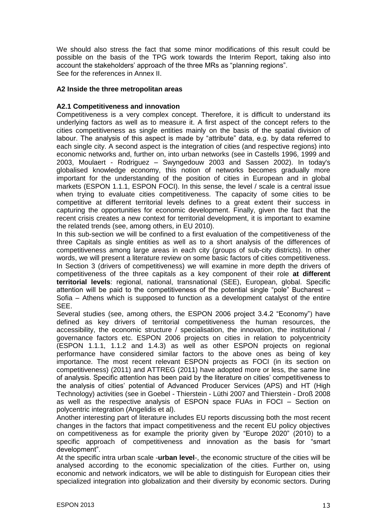We should also stress the fact that some minor modifications of this result could be possible on the basis of the TPG work towards the Interim Report, taking also into account the stakeholders' approach of the three MRs as "planning regions". See for the references in Annex II.

## <span id="page-12-0"></span>**A2 Inside the three metropolitan areas**

## <span id="page-12-1"></span>**A2.1 Competitiveness and innovation**

Competitiveness is a very complex concept. Therefore, it is difficult to understand its underlying factors as well as to measure it. A first aspect of the concept refers to the cities competitiveness as single entities mainly on the basis of the spatial division of labour. The analysis of this aspect is made by "attribute" data, e.g. by data referred to each single city. A second aspect is the integration of cities (and respective regions) into economic networks and, further on, into urban networks (see in Castells 1996, 1999 and 2003, Moulaert - Rodriguez – Swyngedouw 2003 and Sassen 2002). In today's globalised knowledge economy, this notion of networks becomes gradually more important for the understanding of the position of cities in European and in global markets (ESPON 1.1.1, ESPON FOCI). In this sense, the level / scale is a central issue when trying to evaluate cities competitiveness. The capacity of some cities to be competitive at different territorial levels defines to a great extent their success in capturing the opportunities for economic development. Finally, given the fact that the recent crisis creates a new context for territorial development, it is important to examine the related trends (see, among others, in EU 2010).

In this sub-section we will be confined to a first evaluation of the competitiveness of the three Capitals as single entities as well as to a short analysis of the differences of competitiveness among large areas in each city (groups of sub-city districts). In other words, we will present a literature review on some basic factors of cities competitiveness. In Section 3 (drivers of competitiveness) we will examine in more depth the drivers of competitiveness of the three capitals as a key component of their role **at different territorial levels**: regional, national, transnational (SEE), European, global. Specific attention will be paid to the competitiveness of the potential single "pole" Bucharest – Sofia – Athens which is supposed to function as a development catalyst of the entire SEE.

Several studies (see, among others, the ESPON 2006 project 3.4.2 "Economy") have defined as key drivers of territorial competitiveness the human resources, the accessibility, the economic structure / specialisation, the innovation, the institutional / governance factors etc. ESPON 2006 projects on cities in relation to polycentricity (ESPON 1.1.1, 1.1.2 and 1.4.3) as well as other ESPON projects on regional performance have considered similar factors to the above ones as being of key importance. The most recent relevant ESPON projects as FOCI (in its section on competitiveness) (2011) and ATTREG (2011) have adopted more or less, the same line of analysis. Specific attention has been paid by the literature on cities' competitiveness to the analysis of cities' potential of Advanced Producer Services (APS) and HT (High Technology) activities (see in Goebel - Thierstein - Lüthi 2007 and Thierstein - Droß 2008 as well as the respective analysis of ESPON space FUAs in FOCI – Section on polycentric integration (Angelidis et al).

Another interesting part of literature includes EU reports discussing both the most recent changes in the factors that impact competitiveness and the recent EU policy objectives on competitiveness as for example the priority given by "Europe 2020" (2010) to a specific approach of competitiveness and innovation as the basis for "smart development".

At the specific intra urban scale -**urban level**-, the economic structure of the cities will be analysed according to the economic specialization of the cities. Further on, using economic and network indicators, we will be able to distinguish for European cities their specialized integration into globalization and their diversity by economic sectors. During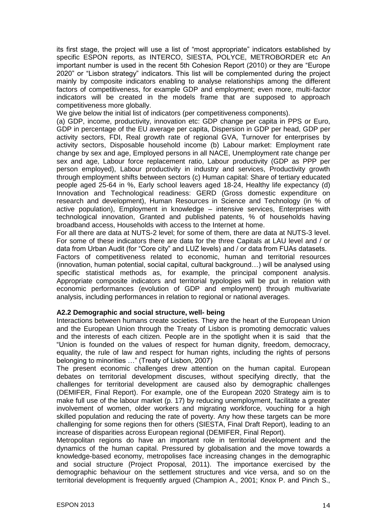its first stage, the project will use a list of "most appropriate" indicators established by specific ESPON reports, as INTERCO, SIESTA, POLYCE, METROBORDER etc An important number is used in the recent 5th Cohesion Report (2010) or they are "Europe 2020" or "Lisbon strategy" indicators. This list will be complemented during the project mainly by composite indicators enabling to analyse relationships among the different factors of competitiveness, for example GDP and employment; even more, multi-factor indicators will be created in the models frame that are supposed to approach competitiveness more globally.

We give below the initial list of indicators (per competitiveness components).

(a) GDP, income, productivity, innovation etc: GDP change per capita in PPS or Euro, GDP in percentage of the EU average per capita, Dispersion in GDP per head, GDP per activity sectors, FDI, Real growth rate of regional GVA, Turnover for enterprises by activity sectors, Disposable household income (b) Labour market: Employment rate change by sex and age, Employed persons in all NACE, Unemployment rate change per sex and age, Labour force replacement ratio, Labour productivity (GDP as PPP per person employed), Labour productivity in industry and services, Productivity growth through employment shifts between sectors (c) Human capital: Share of tertiary educated people aged 25-64 in %, Early school leavers aged 18-24, Healthy life expectancy (d) Innovation and Technological readiness: GERD (Gross domestic expenditure on research and development), Human Resources in Science and Technology (in % of active population), Employment in knowledge – intensive services, Enterprises with technological innovation, Granted and published patents, % of households having broadband access, Households with access to the Internet at home.

For all there are data at NUTS-2 level; for some of them, there are data at NUTS-3 level. For some of these indicators there are data for the three Capitals at LAU level and / or data from Urban Audit (for "Core city" and LUZ levels) and / or data from FUAs datasets.

Factors of competitiveness related to economic, human and territorial resources (innovation, human potential, social capital, cultural background…) will be analysed using specific statistical methods as, for example, the principal component analysis. Appropriate composite indicators and territorial typologies will be put in relation with economic performances (evolution of GDP and employment) through multivariate analysis, including performances in relation to regional or national averages.

# <span id="page-13-0"></span>**A2.2 Demographic and social structure, well- being**

Interactions between humans create societies. They are the heart of the European Union and the European Union through the Treaty of Lisbon is promoting democratic values and the interests of each citizen. People are in the spotlight when it is said that the "Union is founded on the values of respect for human dignity, freedom, democracy, equality, the rule of law and respect for human rights, including the rights of persons belonging to minorities …" (Treaty of Lisbon, 2007)

The present economic challenges drew attention on the human capital. European debates on territorial development discuses, without specifying directly, that the challenges for territorial development are caused also by demographic challenges (DEMIFER, Final Report). For example, one of the European 2020 Strategy aim is to make full use of the labour market (p. 17) by reducing unemployment, facilitate a greater involvement of women, older workers and migrating workforce, vouching for a high skilled population and reducing the rate of poverty. Any how these targets can be more challenging for some regions then for others (SIESTA, Final Draft Report), leading to an increase of disparities across European regional (DEMIFER, Final Report).

Metropolitan regions do have an important role in territorial development and the dynamics of the human capital. Pressured by globalisation and the move towards a knowledge-based economy, metropolises face increasing changes in the demographic and social structure (Project Proposal, 2011). The importance exercised by the demographic behaviour on the settlement structures and vice versa, and so on the territorial development is frequently argued (Champion A., 2001; Knox P. and Pinch S.,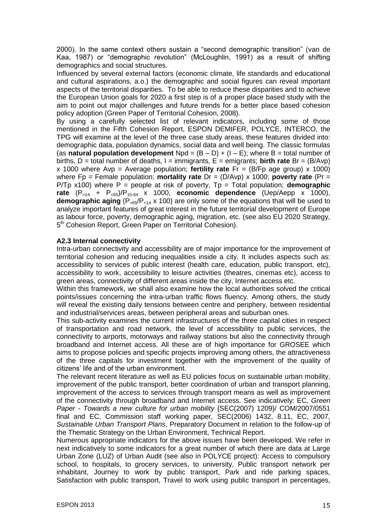2000). In the same context others sustain a "second demographic transition" (van de Kaa, 1987) or "demographic revolution" (McLoughlin, 1991) as a result of shifting demographics and social structures.

Influenced by several external factors (economic climate, life standards and educational and cultural aspirations, a.o.) the demographic and social figures can reveal important aspects of the territorial disparities. To be able to reduce these disparities and to achieve the European Union goals for 2020 a first step is of a proper place based study with the aim to point out major challenges and future trends for a better place based cohesion policy adoption (Green Paper of Territorial Cohesion, 2008).

By using a carefully selected list of relevant indicators, including some of those mentioned in the Fifth Cohesion Report, ESPON DEMIFER, POLYCE, INTERCO, the TPG will examine at the level of the three case study areas, these features divided into: demographic data, population dynamics, social data and well being. The classic formulas (as **natural population development**  $Npd = (B - D) + (I - E)$ ; where B = total number of births, D = total number of deaths, I = immigrants, E = emigrants; **birth rate** Br = (B/Avp) x 1000 where Avp = Average population; **fertility rate** Fr = (B/Fp age group) x 1000) where Fp = Female population; **mortality rate** Dr = (D/Avp) x 1000; **poverty rate** (Pr = P/Tp x100) where P = people at risk of poverty, Tp = Total population; **demographic rate**  $(P_{>14} + P_{<sub>65</sub>})/P_{15-64}$  x 1000, **economic dependence** (Uep/Aepp x 1000), **demographic aging** ( $P_{>65}/P_{<14}$  x 100) are only some of the equations that will be used to analyze important features of great interest in the future territorial development of Europe as labour force, poverty, demographic aging, migration, etc. (see also EU 2020 Strategy, 5<sup>th</sup> Cohesion Report, Green Paper on Territorial Cohesion).

#### <span id="page-14-0"></span>**A2.3 Internal connectivity**

Intra-urban connectivity and accessibility are of major importance for the improvement of territorial cohesion and reducing inequalities inside a city. It includes aspects such as: accessibility to services of public interest (health care, education, public transport, etc), accessibility to work, accessibility to leisure activities (theatres, cinemas etc), access to green areas, connectivity of different areas inside the city, Internet access etc.

Within this framework, we shall also examine how the local authorities solved the critical points/issues concerning the intra-urban traffic flows fluency. Among others, the study will reveal the existing daily tensions between centre and periphery, between residential and industrial/services areas, between peripheral areas and suburban ones.

This sub-activity examines the current infrastructures of the three capital cities in respect of transportation and road network, the level of accessibility to public services, the connectivity to airports, motorways and railway stations but also the connectivity through broadband and Internet access. All these are of high importance for GROSEE which aims to propose policies and specific projects improving among others, the attractiveness of the three capitals for investment together with the improvement of the quality of citizens' life and of the urban environment.

The relevant recent literature as well as EU policies focus on sustainable urban mobility, improvement of the public transport, better coordination of urban and transport planning, improvement of the access to services through transport means as well as improvement of the connectivity through broadband and Internet access. See indicatively: EC, *Green Paper - Towards a new culture for urban mobility* {SEC(2007) 1209}/ COM/2007/0551 final and EC, Commission staff working paper, SEC(2006) 1432, 8.11, EC, 2007, *Sustainable Urban Transport Plans*, Preparatory Document in relation to the follow-up of the Thematic Strategy on the Urban Environment, Technical Report.

Numerous appropriate indicators for the above issues have been developed. We refer in next indicatively to some indicators for a great number of which there are data at Large Urban Zone (LUZ) of Urban Audit (see also in POLYCE project): Access to compulsory school, to hospitals, to grocery services, to university, Public transport network per inhabitant, Journey to work by public transport, Park and ride parking spaces, Satisfaction with public transport, Travel to work using public transport in percentages,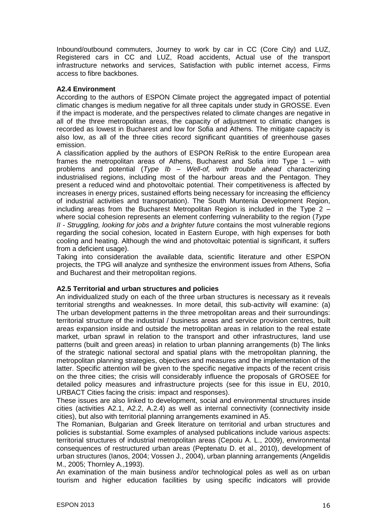Inbound/outbound commuters, Journey to work by car in CC (Core City) and LUZ, Registered cars in CC and LUZ, Road accidents, Actual use of the transport infrastructure networks and services, Satisfaction with public internet access, Firms access to fibre backbones.

# <span id="page-15-0"></span>**A2.4 Environment**

According to the authors of ESPON Climate project the aggregated impact of potential climatic changes is medium negative for all three capitals under study in GROSSE. Even if the impact is moderate, and the perspectives related to climate changes are negative in all of the three metropolitan areas, the capacity of adjustment to climatic changes is recorded as lowest in Bucharest and low for Sofia and Athens. The mitigate capacity is also low, as all of the three cities record significant quantities of greenhouse gases emission.

A classification applied by the authors of ESPON ReRisk to the entire European area frames the metropolitan areas of Athens, Bucharest and Sofia into Type 1 – with problems and potential (*Type Ib – Well-of, with trouble ahead* characterizing industrialised regions, including most of the harbour areas and the Pentagon. They present a reduced wind and photovoltaic potential. Their competitiveness is affected by increases in energy prices, sustained efforts being necessary for increasing the efficiency of industrial activities and transportation). The South Muntenia Development Region, including areas from the Bucharest Metropolitan Region is included in the Type 2 – where social cohesion represents an element conferring vulnerability to the region (*Type II - Struggling, looking for jobs and a brighter future* contains the most vulnerable regions regarding the social cohesion, located in Eastern Europe, with high expenses for both cooling and heating. Although the wind and photovoltaic potential is significant, it suffers from a deficient usage).

Taking into consideration the available data, scientific literature and other ESPON projects, the TPG will analyze and synthesize the environment issues from Athens, Sofia and Bucharest and their metropolitan regions.

# <span id="page-15-1"></span>**A2.5 Territorial and urban structures and policies**

An individualized study on each of the three urban structures is necessary as it reveals territorial strengths and weaknesses. In more detail, this sub-activity will examine: (a) The urban development patterns in the three metropolitan areas and their surroundings: territorial structure of the industrial / business areas and service provision centres, built areas expansion inside and outside the metropolitan areas in relation to the real estate market, urban sprawl in relation to the transport and other infrastructures, land use patterns (built and green areas) in relation to urban planning arrangements (b) The links of the strategic national sectoral and spatial plans with the metropolitan planning, the metropolitan planning strategies, objectives and measures and the implementation of the latter. Specific attention will be given to the specific negative impacts of the recent crisis on the three cities; the crisis will considerably influence the proposals of GROSEE for detailed policy measures and infrastructure projects (see for this issue in EU, 2010, URBACT Cities facing the crisis: impact and responses).

These issues are also linked to development, social and environmental structures inside cities (activities A2.1, A2.2, A.2.4) as well as internal connectivity (connectivity inside cities), but also with territorial planning arrangements examined in A5.

The Romanian, Bulgarian and Greek literature on territorial and urban structures and policies is substantial. Some examples of analysed publications include various aspects: territorial structures of industrial metropolitan areas (Cepoiu A. L., 2009), environmental consequences of restructured urban areas (Peptenatu D. et al., 2010), development of urban structures (Ianos, 2004; Vossen J., 2004), urban planning arrangements (Angelidis M., 2005; Thornley A.,1993).

An examination of the main business and/or technological poles as well as on urban tourism and higher education facilities by using specific indicators will provide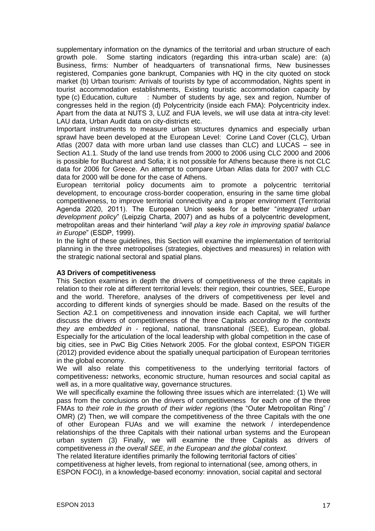supplementary information on the dynamics of the territorial and urban structure of each growth pole. Some starting indicators (regarding this intra-urban scale) are: (a) Business, firms: Number of headquarters of transnational firms, New businesses registered, Companies gone bankrupt, Companies with HQ in the city quoted on stock market (b) Urban tourism: Arrivals of tourists by type of accommodation, Nights spent in tourist accommodation establishments, Existing touristic accommodation capacity by type (c) Education, culture : Number of students by age, sex and region, Number of congresses held in the region (d) Polycentricity (inside each FMA): Polycentricity index. Apart from the data at NUTS 3, LUZ and FUA levels, we will use data at intra-city level: LAU data, Urban Audit data on city-districts etc.

Important instruments to measure urban structures dynamics and especially urban sprawl have been developed at the European Level: Corine Land Cover (CLC), Urban Atlas (2007 data with more urban land use classes than CLC) and LUCAS – see in Section A1.1. Study of the land use trends from 2000 to 2006 using CLC 2000 and 2006 is possible for Bucharest and Sofia; it is not possible for Athens because there is not CLC data for 2006 for Greece. An attempt to compare Urban Atlas data for 2007 with CLC data for 2000 will be done for the case of Athens.

European territorial policy documents aim to promote a polycentric territorial development, to encourage cross-border cooperation, ensuring in the same time global competitiveness, to improve territorial connectivity and a proper environment (Territorial Agenda 2020, 2011). The European Union seeks for a better "*integrated urban development policy*" (Leipzig Charta, 2007) and as hubs of a polycentric development, metropolitan areas and their hinterland "*will play a key role in improving spatial balance in Europe*" (ESDP, 1999).

In the light of these guidelines, this Section will examine the implementation of territorial planning in the three metropolises (strategies, objectives and measures) in relation with the strategic national sectoral and spatial plans.

# <span id="page-16-0"></span>**A3 Drivers of competitiveness**

This Section examines in depth the drivers of competitiveness of the three capitals in relation to their role at different territorial levels: their region, their countries, SEE, Europe and the world. Therefore, analyses of the drivers of competitiveness per level and according to different kinds of synergies should be made. Based on the results of the Section A2.1 on competitiveness and innovation inside each Capital, we will further discuss the drivers of competitiveness of the three Capitals *according to the contexts they are embedded in* - regional, national, transnational (SEE), European, global. Especially for the articulation of the local leadership with global competition in the case of big cities, see in PwC Big Cities Network 2005. For the global context, ESPON TIGER (2012) provided evidence about the spatially unequal participation of European territories in the global economy.

We will also relate this competitiveness to the underlying territorial factors of competitiveness**:** networks, economic structure, human resources and social capital as well as, in a more qualitative way, governance structures.

We will specifically examine the following three issues which are interrelated: (1) We will pass from the conclusions on the drivers of competitiveness for each one of the three FMAs to *their role in the growth of their wider regions* (the "Outer Metropolitan Ring" / OMR) (2) Then, we will compare the competitiveness of the three Capitals with the one of other European FUAs and we will examine the network / interdependence relationships of the three Capitals with their national urban systems and the European urban system (3) Finally, we will examine the three Capitals as drivers of competitiveness *in the overall SEE, in the European and the global context.*

The related literature identifies primarily the following territorial factors of cities' competitiveness at higher levels, from regional to international (see, among others, in ESPON FOCI), in a knowledge-based economy: innovation, social capital and sectoral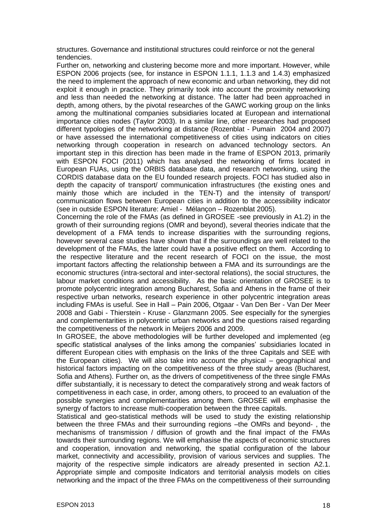structures. Governance and institutional structures could reinforce or not the general tendencies.

Further on, networking and clustering become more and more important. However, while ESPON 2006 projects (see, for instance in ESPON 1.1.1, 1.1.3 and 1.4.3) emphasized the need to implement the approach of new economic and urban networking, they did not exploit it enough in practice. They primarily took into account the proximity networking and less than needed the networking at distance. The latter had been approached in depth, among others, by the pivotal researches of the GAWC working group on the links among the multinational companies subsidiaries located at European and international importance cities nodes (Taylor 2003). In a similar line, other researches had proposed different typologies of the networking at distance (Rozenblat - Pumain 2004 and 2007) or have assessed the international competitiveness of cities using indicators on cities networking through cooperation in research on advanced technology sectors. An important step in this direction has been made in the frame of ESPON 2013, primarily with ESPON FOCI (2011) which has analysed the networking of firms located in European FUAs, using the ORBIS database data, and research networking, using the CORDIS database data on the EU founded research projects. FOCI has studied also in depth the capacity of transport/ communication infrastructures (the existing ones and mainly those which are included in the TEN-T) and the intensity of transport/ communication flows between European cities in addition to the accessibility indicator (see in outside ESPON literature: Amiel - Mélançon – Rozenblat 2005).

Concerning the role of the FMAs (as defined in GROSEE -see previously in A1.2) in the growth of their surrounding regions (OMR and beyond), several theories indicate that the development of a FMA tends to increase disparities with the surrounding regions, however several case studies have shown that if the surroundings are well related to the development of the FMAs, the latter could have a positive effect on them. According to the respective literature and the recent research of FOCI on the issue, the most important factors affecting the relationship between a FMA and its surroundings are the economic structures (intra-sectoral and inter-sectoral relations), the social structures, the labour market conditions and accessibility. As the basic orientation of GROSEE is to promote polycentric integration among Bucharest, Sofia and Athens in the frame of their respective urban networks, research experience in other polycentric integration areas including FMAs is useful. See in Hall – Pain 2006, Otgaar - Van Den Ber - Van Der Meer 2008 and Gabi - Thierstein - Kruse - Glanzmann 2005. See especially for the synergies and complementarities in polycentric urban networks and the questions raised regarding the competitiveness of the network in Meijers 2006 and 2009.

In GROSEE, the above methodologies will be further developed and implemented (eg specific statistical analyses of the links among the companies' subsidiaries located in different European cities with emphasis on the links of the three Capitals and SEE with the European cities). We will also take into account the physical – geographical and historical factors impacting on the competitiveness of the three study areas (Bucharest, Sofia and Athens). Further on, as the drivers of competitiveness of the three single FMAs differ substantially, it is necessary to detect the comparatively strong and weak factors of competitiveness in each case, in order, among others, to proceed to an evaluation of the possible synergies and complementarities among them. GROSEE will emphasise the synergy of factors to increase multi-cooperation between the three capitals.

Statistical and geo-statistical methods will be used to study the existing relationship between the three FMAs and their surrounding regions –the OMRs and beyond- , the mechanisms of transmission / diffusion of growth and the final impact of the FMAs towards their surrounding regions. We will emphasise the aspects of economic structures and cooperation, innovation and networking, the spatial configuration of the labour market, connectivity and accessibility, provision of various services and supplies. The majority of the respective simple indicators are already presented in section A2.1. Appropriate simple and composite Indicators and territorial analysis models on cities networking and the impact of the three FMAs on the competitiveness of their surrounding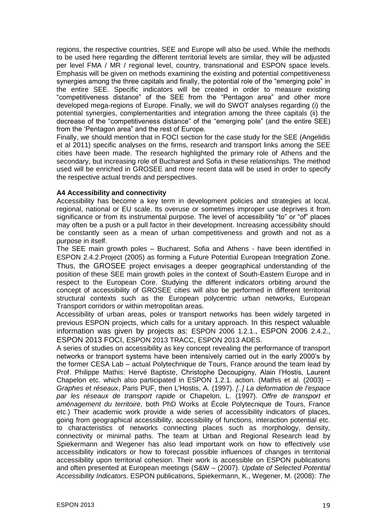regions, the respective countries, SEE and Europe will also be used. While the methods to be used here regarding the different territorial levels are similar, they will be adjusted per level FMA / MR / regional level, country, transnational and ESPON space levels. Emphasis will be given on methods examining the existing and potential competitiveness synergies among the three capitals and finally, the potential role of the "emerging pole" in the entire SEE. Specific indicators will be created in order to measure existing "competitiveness distance" of the SEE from the "Pentagon area" and other more developed mega-regions of Europe. Finally, we will do SWOT analyses regarding (i) the potential synergies, complementarities and integration among the three capitals (ii) the decrease of the "competitiveness distance" of the "emerging pole" (and the entire SEE) from the 'Pentagon area" and the rest of Europe.

Finally, we should mention that in FOCI section for the case study for the SEE (Angelidis et al 2011) specific analyses on the firms, research and transport links among the SEE cities have been made. The research highlighted the primary role of Athens and the secondary, but increasing role of Bucharest and Sofia in these relationships. The method used will be enriched in GROSEE and more recent data will be used in order to specify the respective actual trends and perspectives.

#### <span id="page-18-0"></span>**A4 Accessibility and connectivity**

Accessibility has become a key term in development policies and strategies at local, regional, national or EU scale. Its overuse or sometimes improper use deprives it from significance or from its instrumental purpose. The level of accessibility "to" or "of" places may often be a push or a pull factor in their development. Increasing accessibility should be constantly seen as a mean of urban competitiveness and growth and not as a purpose in itself.

The SEE main growth poles – Bucharest, Sofia and Athens - have been identified in ESPON 2.4.2.Project (2005) as forming a Future Potential European Integration Zone. Thus, the GROSEE project envisages a deeper geographical understanding of the position of these SEE main growth poles in the context of South-Eastern Europe and in respect to the European Core. Studying the different indicators orbiting around the concept of accessibility of GROSEE cities will also be performed in different territorial structural contexts such as the European polycentric urban networks, European Transport corridors or within metropolitan areas.

Accessibility of urban areas, poles or transport networks has been widely targeted in previous ESPON projects, which calls for a unitary approach. In this respect valuable information was given by projects as: ESPON 2006 1.2.1., ESPON 2006 2.4.2., ESPON 2013 FOCI, ESPON 2013 TRACC, ESPON 2013 ADES.

A series of studies on accessibility as key concept revealing the performance of transport networks or transport systems have been intensively carried out in the early 2000's by the former CESA Lab – actual Polytechnique de Tours, France around the team lead by Prof. Philippe Mathis: Hervé Baptiste, Christophe Decoupigny, Alain l'Hostis, Laurent Chapelon etc. which also participated in ESPON 1.2.1. action. (Mathis et al. (2003) – *Graphes et réseaux*, Paris PUF, then L'Hostis, A. (1997). *[..] La deformation de l'espace par les réseaux de transport rapide* or Chapelon, L. (1997). *Offre de transport et aménagement du territoire*, both PhD Works at École Polytecnique de Tours, France etc.) Their academic work provide a wide series of accessibility indicators of places, going from geographical accessibility, accessibility of functions, interaction potential etc. to characteristics of networks connecting places such as morphology, density, connectivity or minimal paths. The team at Urban and Regional Research lead by Spiekermann and Wegener has also lead important work on how to effectively use accessibility indicators or how to forecast possible influences of changes in territorial accessibility upon territorial cohesion. Their work is accessible on ESPON publications and often presented at European meetings (S&W – (2007). *Update of Selected Potential Accessibility Indicators*. ESPON publications, Spiekermann, K., Wegener, M. (2008): *The*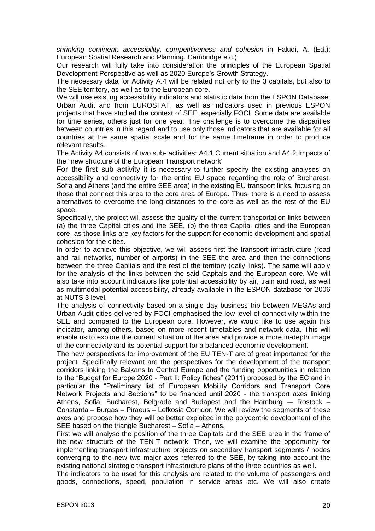*shrinking continent: accessibility, competitiveness and cohesion* in Faludi, A. (Ed.): European Spatial Research and Planning. Cambridge etc.)

Our research will fully take into consideration the principles of the European Spatial Development Perspective as well as 2020 Europe's Growth Strategy.

The necessary data for Activity A.4 will be related not only to the 3 capitals, but also to the SEE territory, as well as to the European core.

We will use existing accessibility indicators and statistic data from the ESPON Database, Urban Audit and from EUROSTAT, as well as indicators used in previous ESPON projects that have studied the context of SEE, especially FOCI. Some data are available for time series, others just for one year. The challenge is to overcome the disparities between countries in this regard and to use only those indicators that are available for all countries at the same spatial scale and for the same timeframe in order to produce relevant results.

The Activity A4 consists of two sub- activities: A4.1 Current situation and A4.2 Impacts of the "new structure of the European Transport network"

For the first sub activity it is necessary to further specify the existing analyses on accessibility and connectivity for the entire EU space regarding the role of Bucharest, Sofia and Athens (and the entire SEE area) in the existing EU transport links, focusing on those that connect this area to the core area of Europe. Thus, there is a need to assess alternatives to overcome the long distances to the core as well as the rest of the EU space.

Specifically, the project will assess the quality of the current transportation links between (a) the three Capital cities and the SEE, (b) the three Capital cities and the European core, as those links are key factors for the support for economic development and spatial cohesion for the cities.

In order to achieve this objective, we will assess first the transport infrastructure (road and rail networks, number of airports) in the SEE the area and then the connections between the three Capitals and the rest of the territory (daily links). The same will apply for the analysis of the links between the said Capitals and the European core. We will also take into account indicators like potential accessibility by air, train and road, as well as multimodal potential accessibility, already available in the ESPON database for 2006 at NUTS 3 level.

The analysis of connectivity based on a single day business trip between MEGAs and Urban Audit cities delivered by FOCI emphasised the low level of connectivity within the SEE and compared to the European core. However, we would like to use again this indicator, among others, based on more recent timetables and network data. This will enable us to explore the current situation of the area and provide a more in-depth image of the connectivity and its potential support for a balanced economic development.

The new perspectives for improvement of the EU TEN-T are of great importance for the project. Specifically relevant are the perspectives for the development of the transport corridors linking the Balkans to Central Europe and the funding opportunities in relation to the "Budget for Europe 2020 - Part II: Policy fiches" (2011) proposed by the EC and in particular the "Preliminary list of European Mobility Corridors and Transport Core Network Projects and Sections" to be financed until 2020 - the transport axes linking Athens, Sofia, Bucharest, Belgrade and Budapest and the Hamburg -– Rostock – Constanta – Burgas – Piraeus – Lefkosia Corridor. We will review the segments of these axes and propose how they will be better exploited in the polycentric development of the SEE based on the triangle Bucharest – Sofia – Athens.

First we will analyse the position of the three Capitals and the SEE area in the frame of the new structure of the TEN-T network. Then, we will examine the opportunity for implementing transport infrastructure projects on secondary transport segments / nodes converging to the new two major axes referred to the SEE, by taking into account the existing national strategic transport infrastructure plans of the three countries as well.

The indicators to be used for this analysis are related to the volume of passengers and goods, connections, speed, population in service areas etc. We will also create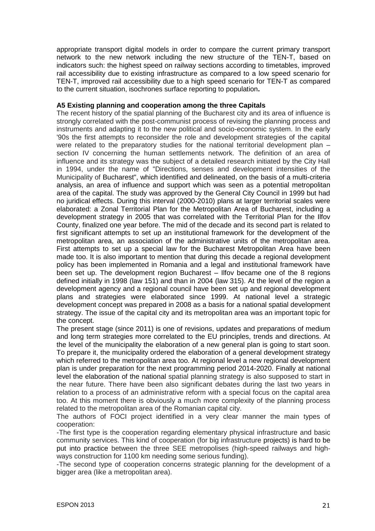appropriate transport digital models in order to compare the current primary transport network to the new network including the new structure of the TEN-T, based on indicators such: the highest speed on railway sections according to timetables, improved rail accessibility due to existing infrastructure as compared to a low speed scenario for TEN-T, improved rail accessibility due to a high speed scenario for TEN-T as compared to the current situation, isochrones surface reporting to population**.** 

#### <span id="page-20-0"></span>**A5 Existing planning and cooperation among the three Capitals**

The recent history of the spatial planning of the Bucharest city and its area of influence is strongly correlated with the post-communist process of revising the planning process and instruments and adapting it to the new political and socio-economic system. In the early '90s the first attempts to reconsider the role and development strategies of the capital were related to the preparatory studies for the national territorial development plan – section IV concerning the human settlements network. The definition of an area of influence and its strategy was the subject of a detailed research initiated by the City Hall in 1994, under the name of "Directions, senses and development intensities of the Municipality of Bucharest", which identified and delineated, on the basis of a multi-criteria analysis, an area of influence and support which was seen as a potential metropolitan area of the capital. The study was approved by the General City Council in 1999 but had no juridical effects. During this interval (2000-2010) plans at larger territorial scales were elaborated: a Zonal Territorial Plan for the Metropolitan Area of Bucharest, including a development strategy in 2005 that was correlated with the Territorial Plan for the Ilfov County, finalized one year before. The mid of the decade and its second part is related to first significant attempts to set up an institutional framework for the development of the metropolitan area, an association of the administrative units of the metropolitan area. First attempts to set up a special law for the Bucharest Metropolitan Area have been made too. It is also important to mention that during this decade a regional development policy has been implemented in Romania and a legal and institutional framework have been set up. The development region Bucharest – Ilfov became one of the 8 regions defined initially in 1998 (law 151) and than in 2004 (law 315). At the level of the region a development agency and a regional council have been set up and regional development plans and strategies were elaborated since 1999. At national level a strategic development concept was prepared in 2008 as a basis for a national spatial development strategy. The issue of the capital city and its metropolitan area was an important topic for the concept.

The present stage (since 2011) is one of revisions, updates and preparations of medium and long term strategies more correlated to the EU principles, trends and directions. At the level of the municipality the elaboration of a new general plan is going to start soon. To prepare it, the municipality ordered the elaboration of a general development strategy which referred to the metropolitan area too. At regional level a new regional development plan is under preparation for the next programming period 2014-2020. Finally at national level the elaboration of the national spatial planning strategy is also supposed to start in the near future. There have been also significant debates during the last two years in relation to a process of an administrative reform with a special focus on the capital area too. At this moment there is obviously a much more complexity of the planning process related to the metropolitan area of the Romanian capital city.

The authors of FOCI project identified in a very clear manner the main types of cooperation:

-The first type is the cooperation regarding elementary physical infrastructure and basic community services. This kind of cooperation (for big infrastructure projects) is hard to be put into practice between the three SEE metropolises (high-speed railways and highways construction for 1100 km needing some serious funding).

-The second type of cooperation concerns strategic planning for the development of a bigger area (like a metropolitan area).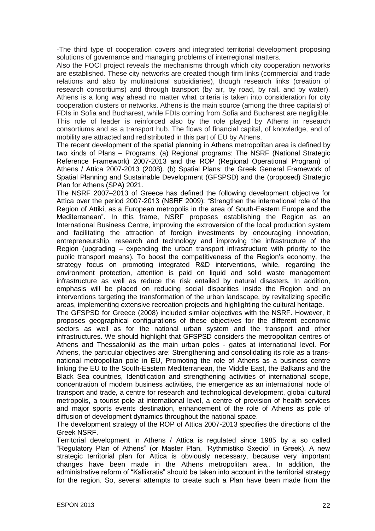-The third type of cooperation covers and integrated territorial development proposing solutions of governance and managing problems of interregional matters.

Also the FOCI project reveals the mechanisms through which city cooperation networks are established. These city networks are created though firm links (commercial and trade relations and also by multinational subsidiaries), though research links (creation of research consortiums) and through transport (by air, by road, by rail, and by water). Athens is a long way ahead no matter what criteria is taken into consideration for city cooperation clusters or networks. Athens is the main source (among the three capitals) of FDIs in Sofia and Bucharest, while FDIs coming from Sofia and Bucharest are negligible. This role of leader is reinforced also by the role played by Athens in research consortiums and as a transport hub. The flows of financial capital, of knowledge, and of mobility are attracted and redistributed in this part of EU by Athens.

The recent development of the spatial planning in Athens metropolitan area is defined by two kinds of Plans – Programs. (a) Regional programs: The NSRF (National Strategic Reference Framework) 2007-2013 and the ROP (Regional Operational Program) of Athens / Attica 2007-2013 (2008). (b) Spatial Plans: the Greek General Framework of Spatial Planning and Sustainable Development (GFSPSD) and the (proposed) Strategic Plan for Athens (SPA) 2021.

The NSRF 2007–2013 of Greece has defined the following development objective for Attica over the period 2007-2013 (NSRF 2009): "Strengthen the international role of the Region of Attiki, as a European metropolis in the area of South-Eastern Europe and the Mediterranean". In this frame, NSRF proposes establishing the Region as an International Business Centre, improving the extroversion of the local production system and facilitating the attraction of foreign investments by encouraging innovation, entrepreneurship, research and technology and improving the infrastructure of the Region (upgrading – expending the urban transport infrastructure with priority to the public transport means). To boost the competitiveness of the Region's economy, the strategy focus on promoting integrated R&D interventions, while, regarding the environment protection, attention is paid on liquid and solid waste management infrastructure as well as reduce the risk entailed by natural disasters. In addition, emphasis will be placed on reducing social disparities inside the Region and on interventions targeting the transformation of the urban landscape, by revitalizing specific areas, implementing extensive recreation projects and highlighting the cultural heritage.

The GFSPSD for Greece (2008) included similar objectives with the NSRF. However, it proposes geographical configurations of these objectives for the different economic sectors as well as for the national urban system and the transport and other infrastructures. We should highlight that GFSPSD considers the metropolitan centres of Athens and Thessaloniki as the main urban poles - gates at international level. For Athens, the particular objectives are: Strengthening and consolidating its role as a transnational metropolitan pole in EU, Promoting the role of Athens as a business centre linking the EU to the South-Eastern Mediterranean, the Middle East, the Balkans and the Black Sea countries, Identification and strengthening activities of international scope, concentration of modern business activities, the emergence as an international node of transport and trade, a centre for research and technological development, global cultural metropolis, a tourist pole at international level, a centre of provision of health services and major sports events destination, enhancement of the role of Athens as pole of diffusion of development dynamics throughout the national space.

The development strategy of the ROP of Attica 2007-2013 specifies the directions of the Greek NSRF.

Territorial development in Athens / Attica is regulated since 1985 by a so called "Regulatory Plan of Athens" (or Master Plan, "Rythmistiko Sxedio" in Greek). A new strategic territorial plan for Attica is obviously necessary, because very important changes have been made in the Athens metropolitan area,. In addition, the administrative reform of "Kallikratis" should be taken into account in the territorial strategy for the region. So, several attempts to create such a Plan have been made from the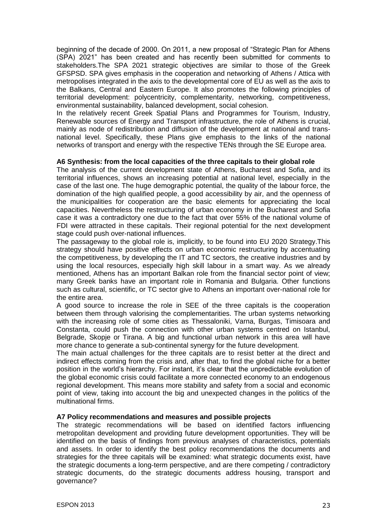beginning of the decade of 2000. On 2011, a new proposal of "Strategic Plan for Athens (SPA) 2021" has been created and has recently been submitted for comments to stakeholders.The SPA 2021 strategic objectives are similar to those of the Greek GFSPSD. SPA gives emphasis in the cooperation and networking of Athens / Attica with metropolises integrated in the axis to the developmental core of EU as well as the axis to the Balkans, Central and Eastern Europe. It also promotes the following principles of territorial development: polycentricity, complementarity, networking, competitiveness, environmental sustainability, balanced development, social cohesion.

In the relatively recent Greek Spatial Plans and Programmes for Tourism, Industry, Renewable sources of Energy and Transport infrastructure, the role of Athens is crucial, mainly as node of redistribution and diffusion of the development at national and transnational level. Specifically, these Plans give emphasis to the links of the national networks of transport and energy with the respective TENs through the SE Europe area.

#### <span id="page-22-0"></span>**A6 Synthesis: from the local capacities of the three capitals to their global role**

The analysis of the current development state of Athens, Bucharest and Sofia, and its territorial influences, shows an increasing potential at national level, especially in the case of the last one. The huge demographic potential, the quality of the labour force, the domination of the high qualified people, a good accessibility by air, and the openness of the municipalities for cooperation are the basic elements for appreciating the local capacities. Nevertheless the restructuring of urban economy in the Bucharest and Sofia case it was a contradictory one due to the fact that over 55% of the national volume of FDI were attracted in these capitals. Their regional potential for the next development stage could push over-national influences.

The passageway to the global role is, implicitly, to be found into EU 2020 Strategy.This strategy should have positive effects on urban economic restructuring by accentuating the competitiveness, by developing the IT and TC sectors, the creative industries and by using the local resources, especially high skill labour in a smart way. As we already mentioned, Athens has an important Balkan role from the financial sector point of view; many Greek banks have an important role in Romania and Bulgaria. Other functions such as cultural, scientific, or TC sector give to Athens an important over-national role for the entire area.

A good source to increase the role in SEE of the three capitals is the cooperation between them through valorising the complementarities. The urban systems networking with the increasing role of some cities as Thessaloniki, Varna, Burgas, Timisoara and Constanta, could push the connection with other urban systems centred on Istanbul, Belgrade, Skopje or Tirana. A big and functional urban network in this area will have more chance to generate a sub-continental synergy for the future development.

The main actual challenges for the three capitals are to resist better at the direct and indirect effects coming from the crisis and, after that, to find the global niche for a better position in the world's hierarchy. For instant, it's clear that the unpredictable evolution of the global economic crisis could facilitate a more connected economy to an endogenous regional development. This means more stability and safety from a social and economic point of view, taking into account the big and unexpected changes in the politics of the multinational firms.

# <span id="page-22-1"></span>**A7 Policy recommendations and measures and possible projects**

The strategic recommendations will be based on identified factors influencing metropolitan development and providing future development opportunities. They will be identified on the basis of findings from previous analyses of characteristics, potentials and assets. In order to identify the best policy recommendations the documents and strategies for the three capitals will be examined: what strategic documents exist, have the strategic documents a long-term perspective, and are there competing / contradictory strategic documents, do the strategic documents address housing, transport and governance?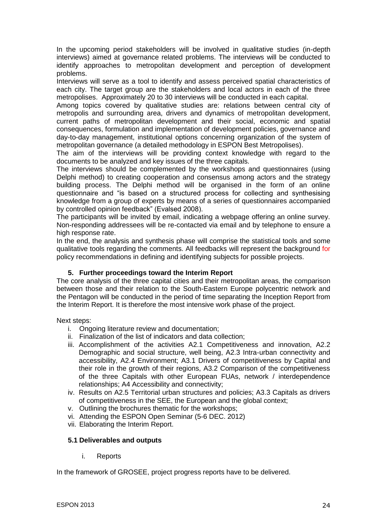In the upcoming period stakeholders will be involved in qualitative studies (in-depth interviews) aimed at governance related problems. The interviews will be conducted to identify approaches to metropolitan development and perception of development problems.

Interviews will serve as a tool to identify and assess perceived spatial characteristics of each city. The target group are the stakeholders and local actors in each of the three metropolises. Approximately 20 to 30 interviews will be conducted in each capital.

Among topics covered by qualitative studies are: relations between central city of metropolis and surrounding area, drivers and dynamics of metropolitan development, current paths of metropolitan development and their social, economic and spatial consequences, formulation and implementation of development policies, governance and day-to-day management, institutional options concerning organization of the system of metropolitan governance (a detailed methodology in ESPON Best Metropolises).

The aim of the interviews will be providing context knowledge with regard to the documents to be analyzed and key issues of the three capitals.

The interviews should be complemented by the workshops and questionnaires (using Delphi method) to creating cooperation and consensus among actors and the strategy building process. The Delphi method will be organised in the form of an online questionnaire and "is based on a structured process for collecting and synthesising knowledge from a group of experts by means of a series of questionnaires accompanied by controlled opinion feedback" (Evalsed 2008).

The participants will be invited by email, indicating a webpage offering an online survey. Non-responding addressees will be re-contacted via email and by telephone to ensure a high response rate.

In the end, the analysis and synthesis phase will comprise the statistical tools and some qualitative tools regarding the comments. All feedbacks will represent the background for policy recommendations in defining and identifying subjects for possible projects.

# **5. Further proceedings toward the Interim Report**

<span id="page-23-0"></span>The core analysis of the three capital cities and their metropolitan areas, the comparison between those and their relation to the South-Eastern Europe polycentric network and the Pentagon will be conducted in the period of time separating the Inception Report from the Interim Report. It is therefore the most intensive work phase of the project.

Next steps:

- i. Ongoing literature review and documentation;
- ii. Finalization of the list of indicators and data collection;
- iii. Accomplishment of the activities A2.1 Competitiveness and innovation, A2.2 Demographic and social structure, well being, A2.3 Intra-urban connectivity and accessibility, A2.4 Environment; A3.1 Drivers of competitiveness by Capital and their role in the growth of their regions, A3.2 Comparison of the competitiveness of the three Capitals with other European FUAs, network / interdependence relationships; A4 Accessibility and connectivity;
- iv. Results on A2.5 Territorial urban structures and policies; A3.3 Capitals as drivers of competitiveness in the SEE, the European and the global context;
- v. Outlining the brochures thematic for the workshops;
- vi. Attending the ESPON Open Seminar (5-6 DEC. 2012)
- vii. Elaborating the Interim Report.

# <span id="page-23-1"></span>**5.1 Deliverables and outputs**

i. Reports

In the framework of GROSEE, project progress reports have to be delivered.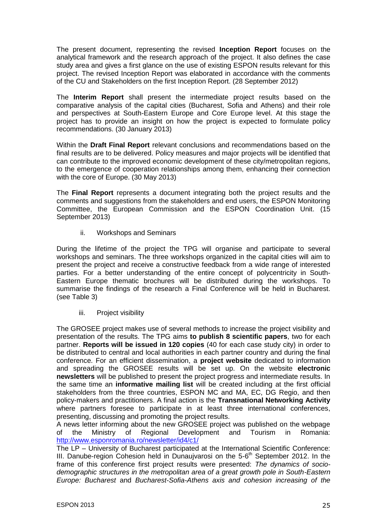The present document, representing the revised **Inception Report** focuses on the analytical framework and the research approach of the project. It also defines the case study area and gives a first glance on the use of existing ESPON results relevant for this project. The revised Inception Report was elaborated in accordance with the comments of the CU and Stakeholders on the first Inception Report. (28 September 2012)

The **Interim Report** shall present the intermediate project results based on the comparative analysis of the capital cities (Bucharest, Sofia and Athens) and their role and perspectives at South-Eastern Europe and Core Europe level. At this stage the project has to provide an insight on how the project is expected to formulate policy recommendations. (30 January 2013)

Within the **Draft Final Report** relevant conclusions and recommendations based on the final results are to be delivered. Policy measures and major projects will be identified that can contribute to the improved economic development of these city/metropolitan regions, to the emergence of cooperation relationships among them, enhancing their connection with the core of Europe. (30 May 2013)

The **Final Report** represents a document integrating both the project results and the comments and suggestions from the stakeholders and end users, the ESPON Monitoring Committee, the European Commission and the ESPON Coordination Unit. (15 September 2013)

ii. Workshops and Seminars

During the lifetime of the project the TPG will organise and participate to several workshops and seminars. The three workshops organized in the capital cities will aim to present the project and receive a constructive feedback from a wide range of interested parties. For a better understanding of the entire concept of polycentricity in South-Eastern Europe thematic brochures will be distributed during the workshops. To summarise the findings of the research a Final Conference will be held in Bucharest. (see Table 3)

iii. Project visibility

The GROSEE project makes use of several methods to increase the project visibility and presentation of the results. The TPG aims **to publish 8 scientific papers**, two for each partner. **Reports will be issued in 120 copies** (40 for each case study city) in order to be distributed to central and local authorities in each partner country and during the final conference. For an efficient dissemination, a **project website** dedicated to information and spreading the GROSEE results will be set up. On the website **electronic newsletters** will be published to present the project progress and intermediate results. In the same time an **informative mailing list** will be created including at the first official stakeholders from the three countries, ESPON MC and MA, EC, DG Regio, and then policy-makers and practitioners. A final action is the **Transnational Networking Activity** where partners foresee to participate in at least three international conferences, presenting, discussing and promoting the project results.

A news letter informing about the new GROSEE project was published on the webpage of the Ministry of Regional Development and Tourism in Romania: <http://www.esponromania.ro/newsletter/id4/c1/>

The LP – University of Bucharest participated at the International Scientific Conference: III. Danube-region Cohesion held in Dunaujvarosi on the 5-6<sup>th</sup> September 2012. In the frame of this conference first project results were presented: *The dynamics of sociodemographic structures in the metropolitan area of a great growth pole in South-Eastern Europe: Bucharest* and *Bucharest-Sofia-Athens axis and cohesion increasing of the*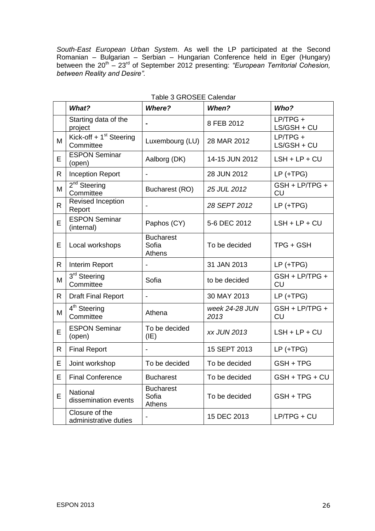*South-East European Urban System*. As well the LP participated at the Second Romanian – Bulgarian – Serbian – Hungarian Conference held in Eger (Hungary) between the 20<sup>th</sup> – 23<sup>rd</sup> of September 2012 presenting: *"European Territorial Cohesion, between Reality and Desire".*

|              | What?                                            | <b>Where?</b>                              | When?                  | Who?                        |
|--------------|--------------------------------------------------|--------------------------------------------|------------------------|-----------------------------|
|              | Starting data of the<br>project                  |                                            | 8 FEB 2012             | $LP/TPG +$<br>LS/GSH + CU   |
| M            | Kick-off + 1 <sup>st</sup> Steering<br>Committee | Luxembourg (LU)                            | 28 MAR 2012            | $LP/TPG +$<br>LS/GSH + CU   |
| E            | <b>ESPON Seminar</b><br>(open)                   | Aalborg (DK)                               | 14-15 JUN 2012         | $LSH + LP + CU$             |
| R            | <b>Inception Report</b>                          | $\overline{\phantom{0}}$                   | 28 JUN 2012            | $LP (+TPG)$                 |
| M            | 2 <sup>nd</sup> Steering<br>Committee            | Bucharest (RO)                             | 25 JUL 2012            | GSH + LP/TPG +<br>CU        |
| $\mathsf{R}$ | <b>Revised Inception</b><br>Report               |                                            | 28 SEPT 2012           | $LP$ (+TPG)                 |
| E            | <b>ESPON Seminar</b><br>(internal)               | Paphos (CY)                                | 5-6 DEC 2012           | $LSH + LP + CU$             |
| E            | Local workshops                                  | <b>Bucharest</b><br>Sofia<br><b>Athens</b> | To be decided          | TPG + GSH                   |
| R            | Interim Report                                   | $\overline{\phantom{0}}$                   | 31 JAN 2013            | $LP$ (+TPG)                 |
| M            | 3rd Steering<br>Committee                        | Sofia                                      | to be decided          | GSH + LP/TPG +<br><b>CU</b> |
| $\mathsf{R}$ | <b>Draft Final Report</b>                        |                                            | 30 MAY 2013            | $LP$ (+TPG)                 |
| M            | 4 <sup>th</sup> Steering<br>Committee            | Athena                                     | week 24-28 JUN<br>2013 | GSH + LP/TPG +<br><b>CU</b> |
| E            | <b>ESPON Seminar</b><br>(open)                   | To be decided<br>(IE)                      | <b>xx JUN 2013</b>     | $LSH + LP + CU$             |
| $\mathsf{R}$ | <b>Final Report</b>                              |                                            | 15 SEPT 2013           | $LP (+TPG)$                 |
| E            | Joint workshop                                   | To be decided                              | To be decided          | GSH + TPG                   |
| E            | <b>Final Conference</b>                          | <b>Bucharest</b>                           | To be decided          | GSH + TPG + CU              |
| E            | National<br>dissemination events                 | <b>Bucharest</b><br>Sofia<br>Athens        | To be decided          | GSH + TPG                   |
|              | Closure of the<br>administrative duties          |                                            | 15 DEC 2013            | $LP/TPG + CU$               |

# Table 3 GROSEE Calendar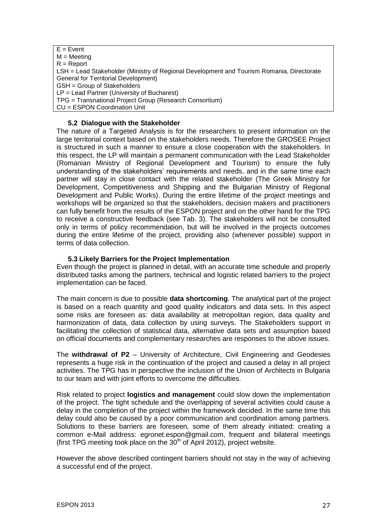$E = E$ vent  $M = Meetinq$  $R =$  Report LSH = Lead Stakeholder (Ministry of Regional Development and Tourism Romania, Directorate General for Territorial Development) GSH = Group of Stakeholders LP = Lead Partner (University of Bucharest) TPG = Transnational Project Group (Research Consortium) CU = ESPON Coordination Unit

# <span id="page-26-0"></span>**5.2 Dialogue with the Stakeholder**

The nature of a Targeted Analysis is for the researchers to present information on the large territorial context based on the stakeholders needs. Therefore the GROSEE Project is structured in such a manner to ensure a close cooperation with the stakeholders. In this respect, the LP will maintain a permanent communication with the Lead Stakeholder (Romanian Ministry of Regional Development and Tourism) to ensure the fully understanding of the stakeholders' requirements and needs, and in the same time each partner will stay in close contact with the related stakeholder (The Greek Ministry for Development, Competitiveness and Shipping and the Bulgarian Ministry of Regional Development and Public Works). During the entire lifetime of the project meetings and workshops will be organized so that the stakeholders, decision makers and practitioners can fully benefit from the results of the ESPON project and on the other hand for the TPG to receive a constructive feedback (see Tab. 3). The stakeholders will not be consulted only in terms of policy recommendation, but will be involved in the projects outcomes during the entire lifetime of the project, providing also (whenever possible) support in terms of data collection.

#### **5.3 Likely Barriers for the Project Implementation**

<span id="page-26-1"></span>Even though the project is planned in detail, with an accurate time schedule and properly distributed tasks among the partners, technical and logistic related barriers to the project implementation can be faced.

The main concern is due to possible **data shortcoming**. The analytical part of the project is based on a reach quantity and good quality indicators and data sets. In this aspect some risks are foreseen as: data availability at metropolitan region, data quality and harmonization of data, data collection by using surveys. The Stakeholders support in facilitating the collection of statistical data, alternative data sets and assumption based on official documents and complementary researches are responses to the above issues.

The **withdrawal of P2** – University of Architecture, Civil Engineering and Geodesies represents a huge risk in the continuation of the project and caused a delay in all project activities. The TPG has in perspective the inclusion of the Union of Architects in Bulgaria to our team and with joint efforts to overcome the difficulties.

Risk related to project **logistics and management** could slow down the implementation of the project. The tight schedule and the overlapping of several activities could cause a delay in the completion of the project within the framework decided. In the same time this delay could also be caused by a poor communication and coordination among partners. Solutions to these barriers are foreseen, some of them already initiated: creating a common e-Mail address: egronet.espon@gmail.com, frequent and bilateral meetings (first TPG meeting took place on the  $30<sup>th</sup>$  of April 2012), project website.

However the above described contingent barriers should not stay in the way of achieving a successful end of the project.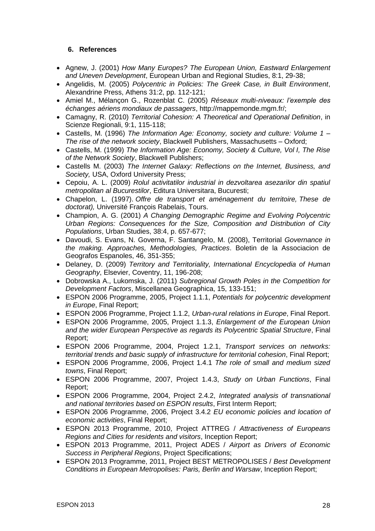# <span id="page-27-0"></span>**6. References**

- Agnew, J. (2001) *How Many Europes? The European Union, Eastward Enlargement and Uneven Development*, European Urban and Regional Studies, 8:1, 29-38;
- Angelidis, M. (2005) *Polycentric in Policies: The Greek Case, in Built Environment*, Alexandrine Press, Athens 31:2, pp. 112-121;
- Amiel M., Mélançon G., Rozenblat C. (2005) *Réseaux multi-niveaux: l'exemple des échanges aériens mondiaux de passagers*, http://mappemonde.mgm.fr/;
- Camagny, R. (2010) *Territorial Cohesion: A Theoretical and Operational Definition*, in Scienze Regionali, 9:1, 115-118;
- Castells, M. (1996) *The Information Age: Economy, society and culture: Volume 1 – The rise of the network society*, Blackwell Publishers, Massachusetts – Oxford;
- Castells, M. (1999) *The Information Age: Economy, Society & Culture, Vol I, The Rise of the Network Society*, Blackwell Publishers;
- Castells M. (2003) *The Internet Galaxy: Reflections on the Internet, Business, and Society,* USA, Oxford University Press;
- Cepoiu, A. L. (2009) *Rolul activitatilor industrial in dezvoltarea asezarilor din spatiul metropolitan al Bucurestilor*, Editura Universitara, Bucuresti;
- Chapelon, L. (1997). *Offre de transport et aménagement du territoire, These de doctorat),* Université François Rabelais, Tours.
- Champion, A. G. (2001) *A Changing Demographic Regime and Evolving Polycentric Urban Regions: Consequences for the Size, Composition and Distribution of City Populations*, Urban Studies, 38:4, p. 657-677;
- Davoudi, S. Evans, N. Governa, F. Santangelo, M. (2008), Territorial *Governance in the making. Approaches, Methodologies, Practices*. Boletin de la Associacion de Geografos Espanoles, 46, 351-355;
- Delaney, D. (2009) *Territory and Territoriality, International Encyclopedia of Human Geography*, Elsevier, Coventry, 11, 196-208;
- Dobrowska A., Lukomska, J. (2011) *Subregional Growth Poles in the Competition for Development Factors*, Miscellanea Geographica, 15, 133-151;
- ESPON 2006 Programme, 2005, Project 1.1.1, *Potentials for polycentric development in Europe*, Final Report;
- ESPON 2006 Programme, Project 1.1.2, *Urban-rural relations in Europe*, Final Report.
- ESPON 2006 Programme, 2005, Project 1.1.3, *Enlargement of the European Union and the wider European Perspective as regards its Polycentric Spatial Structure*, Final Report;
- ESPON 2006 Programme, 2004, Project 1.2.1, *Transport services on networks: territorial trends and basic supply of infrastructure for territorial cohesion*, Final Report;
- ESPON 2006 Programme, 2006, Project 1.4.1 *The role of small and medium sized towns*, Final Report;
- ESPON 2006 Programme, 2007, Project 1.4.3, *Study on Urban Functions*, Final Report;
- ESPON 2006 Programme, 2004, Project 2.4.2, *Integrated analysis of transnational and national territories based on ESPON results*, First Interm Report;
- ESPON 2006 Programme, 2006, Project 3.4.2 *EU economic policies and location of economic activities*, Final Report;
- ESPON 2013 Programme, 2010, Project ATTREG / *Attractiveness of Europeans Regions and Cities for residents and visitors*, Inception Report;
- ESPON 2013 Programme, 2011, Project ADES / *Airport as Drivers of Economic Success in Peripheral Regions*, Project Specifications;
- ESPON 2013 Programme, 2011, Project BEST METROPOLISES / *Best Development Conditions in European Metropolises: Paris, Berlin and Warsaw*, Inception Report;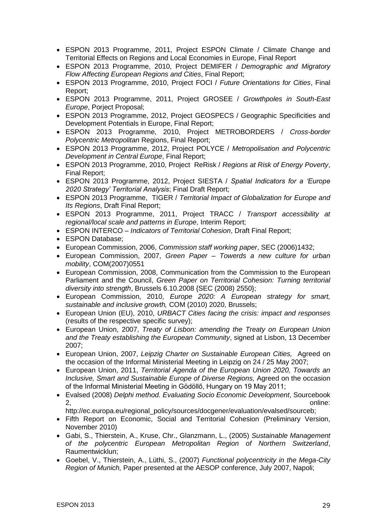- ESPON 2013 Programme, 2011, Project ESPON Climate / Climate Change and Territorial Effects on Regions and Local Economies in Europe, Final Report
- ESPON 2013 Programme, 2010, Project DEMIFER / *Demographic and Migratory Flow Affecting European Regions and Cities*, Final Report;
- ESPON 2013 Programme, 2010, Project FOCI / *Future Orientations for Cities*, Final Report;
- ESPON 2013 Programme, 2011, Project GROSEE / *Growthpoles in South-East Europe*, Porject Proposal;
- ESPON 2013 Programme, 2012, Project GEOSPECS / Geographic Specificities and Development Potentials in Europe, Final Report;
- ESPON 2013 Programme, 2010, Project METROBORDERS / *Cross-border Polycentric Metropolitan* Regions, Final Report;
- ESPON 2013 Programme, 2012, Project POLYCE / *Metropolisation and Polycentric Development in Central Europe*, Final Report;
- ESPON 2013 Programme, 2010, Project ReRisk / *Regions at Risk of Energy Poverty*, Final Report;
- ESPON 2013 Programme, 2012, Project SIESTA / *Spatial Indicators for a 'Europe 2020 Strategy' Territorial Analysis*; Final Draft Report;
- ESPON 2013 Programme, TIGER / *Territorial Impact of Globalization for Europe and Its Regions*, Draft Final Report;
- ESPON 2013 Programme, 2011, Project TRACC / *Transport accessibility at regional/local scale and patterns in Europe*, Interim Report;
- ESPON INTERCO *Indicators of Territorial Cohesion*, Draft Final Report;
- ESPON Database:
- European Commission, 2006, *Commission staff working paper*, SEC (2006)1432;
- European Commission, 2007, *Green Paper – Towerds a new culture for urban mobility*, COM(2007)0551
- European Commission, 2008, Communication from the Commission to the European Parliament and the Council, *Green Paper on Territorial Cohesion: Turning territorial diversity into strength*, Brussels 6.10.2008 {SEC (2008) 2550};
- European Commission, 2010, *Europe 2020: A European strategy for smart, sustainable and inclusive growth,* COM (2010) 2020, Brussels;
- European Union (EU), 2010, *URBACT Cities facing the crisis: impact and responses* (results of the respective specific survey);
- European Union, 2007, *Treaty of Lisbon: amending the Treaty on European Union and the Treaty establishing the European Community*, signed at Lisbon, 13 December 2007;
- European Union, 2007, *Leipzig Charter on Sustainable European Cities,* Agreed on the occasion of the Informal Ministerial Meeting in Leipzig on 24 / 25 May 2007;
- European Union, 2011, *Territorial Agenda of the European Union 2020, Towards an Inclusive, Smart and Sustainable Europe of Diverse Regions,* Agreed on the occasion of the Informal Ministerial Meeting in Gödöllő, Hungary on 19 May 2011;
- Evalsed (2008) *Delphi method. Evaluating Socio Economic Development*, Sourcebook 2, online:

http://ec.europa.eu/regional\_policy/sources/docgener/evaluation/evalsed/sourceb;

- Fifth Report on Economic, Social and Territorial Cohesion (Preliminary Version, November 2010)
- Gabi, S., Thierstein, A., Kruse, Chr., Glanzmann, L., (2005) *Sustainable Management of the polycentric European Metropolitan Region of Northern Switzerland*, Raumentwicklun;
- Goebel, V., Thierstein, A., Lüthi, S., (2007) *Functional polycentricity in the Mega-City Region of Munich,* Paper presented at the AESOP conference, July 2007, Napoli;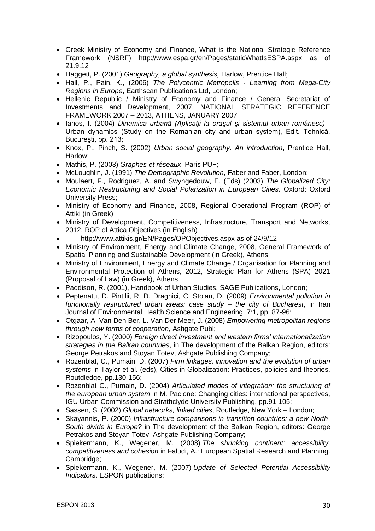- Greek Ministry of Economy and Finance, What is the National Strategic Reference Framework (NSRF) <http://www.espa.gr/en/Pages/staticWhatIsESPA.aspx> as of 21.9.12
- Haggett, P. (2001) *Geography, a global synthesis,* Harlow, Prentice Hall;
- Hall, P., Pain, K., (2006) *The Polycentric Metropolis - Learning from Mega-City Regions in Europe*, Earthscan Publications Ltd, London;
- Hellenic Republic / Ministry of Economy and Finance / General Secretariat of Investments and Development, 2007, NATIONAL STRATEGIC REFERENCE FRAMEWORK 2007 – 2013, ATHENS, JANUARY 2007
- Ianos, I. (2004) *Dinamica urbană (Aplicaţii la oraşul şi sistemul urban românesc) -* Urban dynamics (Study on the Romanian city and urban system), Edit. Tehnică, Bucureşti, pp. 213;
- Knox, P., Pinch, S. (2002) *Urban social geography. An introduction*, Prentice Hall, Harlow;
- Mathis, P. (2003) *Graphes et réseaux*, Paris PUF;
- McLoughlin, J. (1991) *The Demographic Revolution*, Faber and Faber, London;
- Moulaert, F., Rodriguez, A. and Swyngedouw, E. (Eds) (2003) *The Globalized City: Economic Restructuring and Social Polarization in European Cities*. Oxford: Oxford University Press;
- Ministry of Economy and Finance, 2008, Regional Operational Program (ROP) of Attiki (in Greek)
- Ministry of Development, Competitiveness, Infrastructure, Transport and Networks, 2012, ROP of Attica Objectives (in English)
- <http://www.attikis.gr/EN/Pages/OPObjectives.aspx> as of 24/9/12
- Ministry of Environment, Energy and Climate Change, 2008, General Framework of Spatial Planning and Sustainable Development (in Greek), Athens
- Ministry of Environment, Energy and Climate Change / Organisation for Planning and Environmental Protection of Athens, 2012, Strategic Plan for Athens (SPA) 2021 (Proposal of Law) (in Greek), Athens
- Paddison, R. (2001), Handbook of Urban Studies, SAGE Publications, London;
- Peptenatu, D. Pintilii, R. D. Draghici, C. Stoian, D. (2009) *Environmental pollution in functionally restructured urban areas: case study – the city of Bucharest*, in Iran Journal of Environmental Health Science and Engineering. 7:1, pp. 87-96;
- Otgaar, A. Van Den Ber, L. Van Der Meer, J. (2008) *Empowering metropolitan regions through new forms of cooperation,* Ashgate Publ;
- Rizopoulos, Y. (2000) *Foreign direct investment and western firms' internationalization strategies in the Balkan countries*, in The development of the Balkan Region, editors: George Petrakos and Stoyan Totev, Ashgate Publishing Company;
- Rozenblat, C., Pumain, D. (2007) *Firm linkages, innovation and the evolution of urban systems* in Taylor et al. (eds), Cities in Globalization: Practices, policies and theories, Routdledge, pp.130-156;
- Rozenblat C., Pumain, D. (2004) *Articulated modes of integration: the structuring of the european urban system* in M. Pacione: Changing cities: international perspectives, IGU Urban Commission and Strathclyde University Publishing, pp.91-105;
- Sassen, S. (2002) *Global networks, linked cities*, Routledge, New York London;
- Skayannis, P. (2000) *Infrastructure comparisons in transition countries: a new North-South divide in Europe?* in The development of the Balkan Region, editors: George Petrakos and Stoyan Totev, Ashgate Publishing Company;
- Spiekermann, K., Wegener, M. (2008) *The shrinking continent: accessibility, competitiveness and cohesion* in Faludi, A.: European Spatial Research and Planning. Cambridge;
- Spiekermann, K., Wegener, M. (2007) *Update of Selected Potential Accessibility Indicators*. ESPON publications;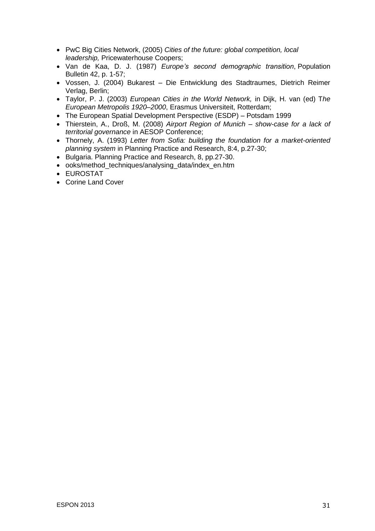- PwC Big Cities Network, (2005) *Cities of the future: global competition, local leadership,* Pricewaterhouse Coopers;
- Van de Kaa, D. J. (1987) *Europe's second demographic transition*, Population Bulletin 42, p. 1-57;
- Vossen, J. (2004) Bukarest Die Entwicklung des Stadtraumes, Dietrich Reimer Verlag, Berlin;
- Taylor, P. J. (2003) *European Cities in the World Network,* in Dijk, H. van (ed) T*he European Metropolis 1920–2000*, Erasmus Universiteit, Rotterdam;
- The European Spatial Development Perspective (ESDP) Potsdam 1999
- Thierstein, A., Droß, M. (2008) *Airport Region of Munich – show-case for a lack of territorial governance* in AESOP Conference;
- Thornely, A. (1993) *Letter from Sofia: building the foundation for a market-oriented planning system* in Planning Practice and Research, 8:4, p.27-30;
- Bulgaria. Planning Practice and Research, 8, pp.27-30.
- ooks/method\_techniques/analysing\_data/index\_en.htm
- EUROSTAT
- Corine Land Cover